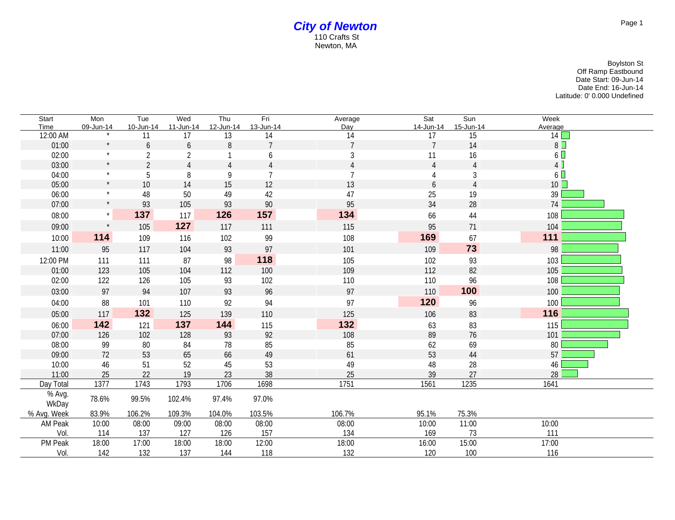## *City of Newton* 110 Crafts St Newton, MA

Boylston St Off Ramp Eastbound Date Start: 09-Jun-14 Date End: 16-Jun-14 Latitude: 0' 0.000 Undefined

| Start           | Mon       | Tue            | Wed            | Thu            | Fri                  | Average        | Sat            | Sun       | Week           |
|-----------------|-----------|----------------|----------------|----------------|----------------------|----------------|----------------|-----------|----------------|
| Time            | 09-Jun-14 | 10-Jun-14      | 11-Jun-14      | 12-Jun-14      | 13-Jun-14            | Day            | 14-Jun-14      | 15-Jun-14 | Average        |
| 12:00 AM        | $\star$   | 11             | 17             | 13             | 14<br>$\overline{7}$ | 14             | 17             | 15        | 14             |
| 01:00           | $\star$   | 6              | 6              | 8              |                      | $\overline{7}$ | $\overline{7}$ | 14        | 8              |
| 02:00           | $\star$   | $\overline{2}$ | $\sqrt{2}$     |                | 6                    | 3              | 11             | 16        | 6 <sup>7</sup> |
| 03:00           |           | $\overline{2}$ | $\overline{4}$ | $\overline{4}$ | $\overline{4}$       | $\overline{4}$ | $\overline{4}$ |           | 4              |
| 04:00           |           | 5              | 8              | 9              | $\overline{7}$       | $\overline{7}$ | 4              | 3         | $6\Box$        |
| 05:00           |           | 10             | 14             | 15             | 12                   | 13             | 6              |           | $10$ $\Box$    |
| 06:00           | $\star$   | 48             | 50             | 49             | 42                   | 47             | 25             | 19        | 39             |
| 07:00           |           | 93             | 105            | 93             | 90                   | 95             | 34             | 28        | 74             |
| 08:00           | $\star$   | 137            | 117            | 126            | 157                  | 134            | 66             | 44        | 108            |
| 09:00           |           | 105            | 127            | 117            | 111                  | 115            | 95             | 71        | 104            |
| 10:00           | 114       | 109            | 116            | 102            | 99                   | 108            | 169            | 67        | 111            |
| 11:00           | 95        | 117            | 104            | 93             | 97                   | 101            | 109            | 73        | 98             |
| 12:00 PM        | 111       | 111            | 87             | 98             | 118                  | 105            | 102            | 93        | 103            |
| 01:00           | 123       | 105            | 104            | 112            | 100                  | 109            | 112            | 82        | 105            |
| 02:00           | 122       | 126            | 105            | 93             | 102                  | 110            | 110            | 96        | 108            |
| 03:00           | 97        | 94             | 107            | 93             | 96                   | 97             | 110            | 100       | 100            |
| 04:00           | 88        | 101            | 110            | 92             | 94                   | 97             | 120            | 96        | 100            |
| 05:00           | 117       | 132            | 125            | 139            | 110                  | 125            | 106            | 83        | 116            |
| 06:00           | 142       | 121            | 137            | 144            | 115                  | 132            | 63             | 83        | 115            |
| 07:00           | 126       | 102            | 128            | 93             | 92                   | 108            | 89             | 76        | 101            |
| 08:00           | 99        | $80\,$         | 84             | 78             | 85                   | 85             | 62             | 69        | 80             |
| 09:00           | 72        | 53             | 65             | 66             | 49                   | 61             | 53             | 44        | 57             |
| 10:00           | 46        | 51             | 52             | 45             | 53                   | 49             | 48             | 28        | 46             |
| 11:00           | 25        | 22             | 19             | 23             | 38                   | 25             | 39             | 27        | 28             |
| Day Total       | 1377      | 1743           | 1793           | 1706           | 1698                 | 1751           | 1561           | 1235      | 1641           |
| % Avg.<br>WkDay | 78.6%     | 99.5%          | 102.4%         | 97.4%          | 97.0%                |                |                |           |                |
| % Avg. Week     | 83.9%     | 106.2%         | 109.3%         | 104.0%         | 103.5%               | 106.7%         | 95.1%          | 75.3%     |                |
| AM Peak         | 10:00     | 08:00          | 09:00          | 08:00          | 08:00                | 08:00          | 10:00          | 11:00     | 10:00          |
| Vol.            | 114       | 137            | 127            | 126            | 157                  | 134            | 169            | 73        | 111            |
| PM Peak         | 18:00     | 17:00          | 18:00          | 18:00          | 12:00                | 18:00          | 16:00          | 15:00     | 17:00          |
| Vol.            | 142       | 132            | 137            | 144            | 118                  | 132            | 120            | 100       | 116            |